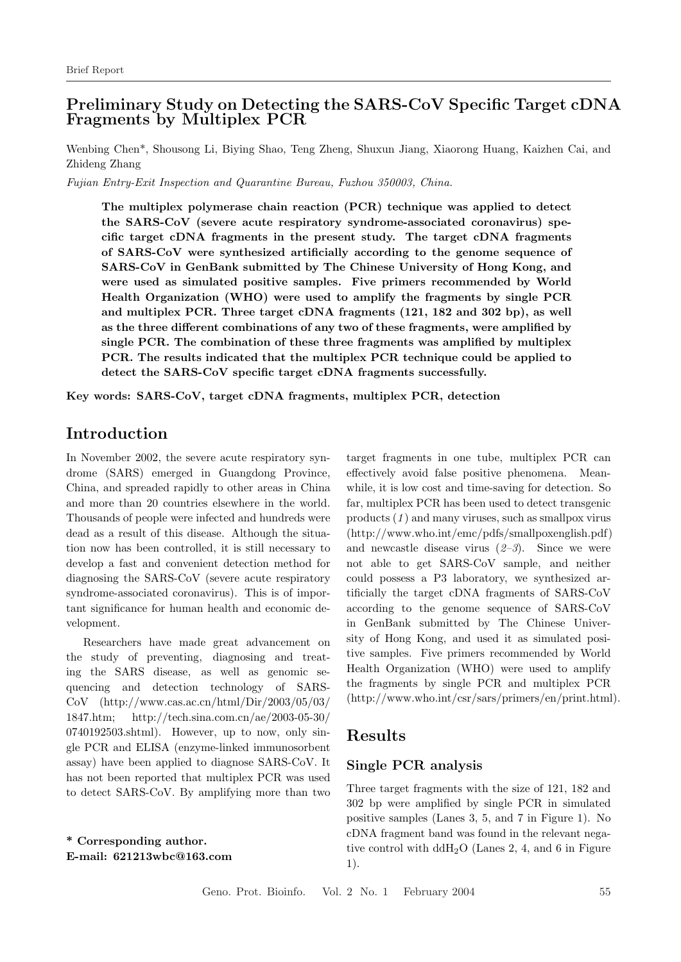## Preliminary Study on Detecting the SARS-CoV Specific Target cDNA Fragments by Multiplex PCR

Wenbing Chen\*, Shousong Li, Biying Shao, Teng Zheng, Shuxun Jiang, Xiaorong Huang, Kaizhen Cai, and Zhideng Zhang

Fujian Entry-Exit Inspection and Quarantine Bureau, Fuzhou 350003, China.

The multiplex polymerase chain reaction (PCR) technique was applied to detect the SARS-CoV (severe acute respiratory syndrome-associated coronavirus) specific target cDNA fragments in the present study. The target cDNA fragments of SARS-CoV were synthesized artificially according to the genome sequence of SARS-CoV in GenBank submitted by The Chinese University of Hong Kong, and were used as simulated positive samples. Five primers recommended by World Health Organization (WHO) were used to amplify the fragments by single PCR and multiplex PCR. Three target cDNA fragments (121, 182 and 302 bp), as well as the three different combinations of any two of these fragments, were amplified by single PCR. The combination of these three fragments was amplified by multiplex PCR. The results indicated that the multiplex PCR technique could be applied to detect the SARS-CoV specific target cDNA fragments successfully.

Key words: SARS-CoV, target cDNA fragments, multiplex PCR, detection

## Introduction

In November 2002, the severe acute respiratory syndrome (SARS) emerged in Guangdong Province, China, and spreaded rapidly to other areas in China and more than 20 countries elsewhere in the world. Thousands of people were infected and hundreds were dead as a result of this disease. Although the situation now has been controlled, it is still necessary to develop a fast and convenient detection method for diagnosing the SARS-CoV (severe acute respiratory syndrome-associated coronavirus). This is of important significance for human health and economic development.

Researchers have made great advancement on the study of preventing, diagnosing and treating the SARS disease, as well as genomic sequencing and detection technology of SARS-CoV (http://www.cas.ac.cn/html/Dir/2003/05/03/ 1847.htm; http://tech.sina.com.cn/ae/2003-05-30/ 0740192503.shtml). However, up to now, only single PCR and ELISA (enzyme-linked immunosorbent assay) have been applied to diagnose SARS-CoV. It has not been reported that multiplex PCR was used to detect SARS-CoV. By amplifying more than two

\* Corresponding author. E-mail: 621213wbc@163.com

target fragments in one tube, multiplex PCR can effectively avoid false positive phenomena. Meanwhile, it is low cost and time-saving for detection. So far, multiplex PCR has been used to detect transgenic products  $(1)$  and many viruses, such as smallpox virus (http://www.who.int/emc/pdfs/smallpoxenglish.pdf) and newcastle disease virus  $(2-3)$ . Since we were not able to get SARS-CoV sample, and neither could possess a P3 laboratory, we synthesized artificially the target cDNA fragments of SARS-CoV according to the genome sequence of SARS-CoV in GenBank submitted by The Chinese University of Hong Kong, and used it as simulated positive samples. Five primers recommended by World Health Organization (WHO) were used to amplify the fragments by single PCR and multiplex PCR (http://www.who.int/csr/sars/primers/en/print.html).

### Results

### Single PCR analysis

Three target fragments with the size of 121, 182 and 302 bp were amplified by single PCR in simulated positive samples (Lanes 3, 5, and 7 in Figure 1). No cDNA fragment band was found in the relevant negative control with  $ddH<sub>2</sub>O$  (Lanes 2, 4, and 6 in Figure 1).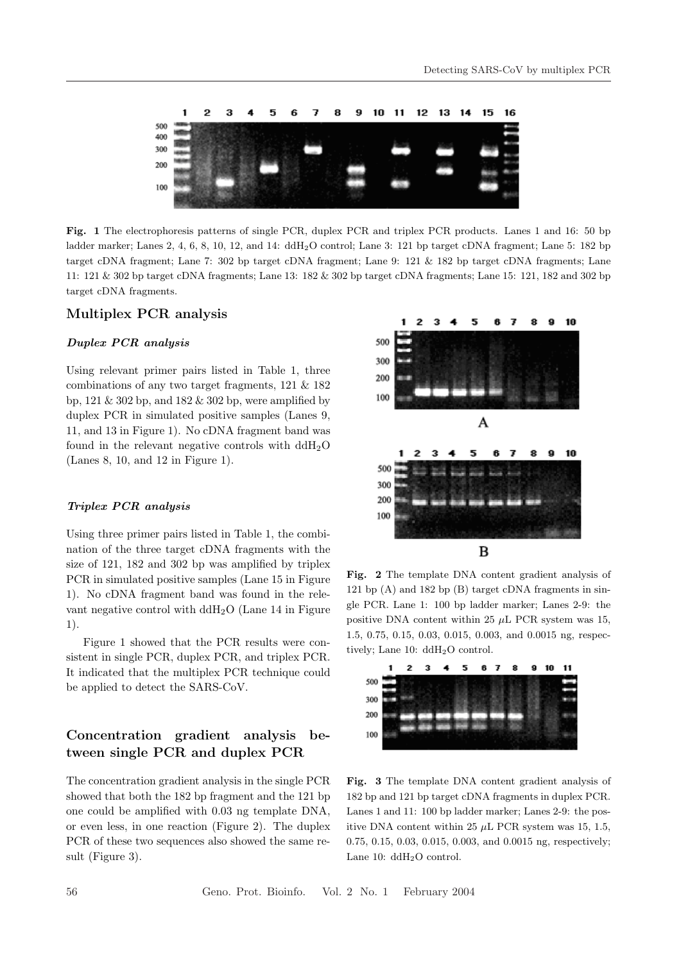

Fig. 1 The electrophoresis patterns of single PCR, duplex PCR and triplex PCR products. Lanes 1 and 16: 50 bp ladder marker; Lanes 2, 4, 6, 8, 10, 12, and 14: ddH<sub>2</sub>O control; Lane 3: 121 bp target cDNA fragment; Lane 5: 182 bp target cDNA fragment; Lane 7: 302 bp target cDNA fragment; Lane 9: 121 & 182 bp target cDNA fragments; Lane 11: 121 & 302 bp target cDNA fragments; Lane 13: 182 & 302 bp target cDNA fragments; Lane 15: 121, 182 and 302 bp target cDNA fragments.

### Multiplex PCR analysis

#### Duplex PCR analysis

Using relevant primer pairs listed in Table 1, three combinations of any two target fragments, 121 & 182 bp,  $121 \& 302$  bp, and  $182 \& 302$  bp, were amplified by duplex PCR in simulated positive samples (Lanes 9, 11, and 13 in Figure 1). No cDNA fragment band was found in the relevant negative controls with  $ddH<sub>2</sub>O$ (Lanes 8, 10, and 12 in Figure 1).

#### Triplex PCR analysis

Using three primer pairs listed in Table 1, the combination of the three target cDNA fragments with the size of 121, 182 and 302 bp was amplified by triplex PCR in simulated positive samples (Lane 15 in Figure 1). No cDNA fragment band was found in the relevant negative control with  $ddH<sub>2</sub>O$  (Lane 14 in Figure 1).

Figure 1 showed that the PCR results were consistent in single PCR, duplex PCR, and triplex PCR. It indicated that the multiplex PCR technique could be applied to detect the SARS-CoV.

### Concentration gradient analysis between single PCR and duplex PCR

The concentration gradient analysis in the single PCR showed that both the 182 bp fragment and the 121 bp one could be amplified with 0.03 ng template DNA, or even less, in one reaction (Figure 2). The duplex PCR of these two sequences also showed the same result (Figure 3).



Fig. 2 The template DNA content gradient analysis of 121 bp (A) and 182 bp (B) target cDNA fragments in single PCR. Lane 1: 100 bp ladder marker; Lanes 2-9: the positive DNA content within 25  $\mu$ L PCR system was 15, 1.5, 0.75, 0.15, 0.03, 0.015, 0.003, and 0.0015 ng, respectively; Lane 10: ddH2O control.



Fig. 3 The template DNA content gradient analysis of 182 bp and 121 bp target cDNA fragments in duplex PCR. Lanes 1 and 11: 100 bp ladder marker; Lanes 2-9: the positive DNA content within 25  $\mu$ L PCR system was 15, 1.5, 0.75, 0.15, 0.03, 0.015, 0.003, and 0.0015 ng, respectively; Lane 10: ddH<sub>2</sub>O control.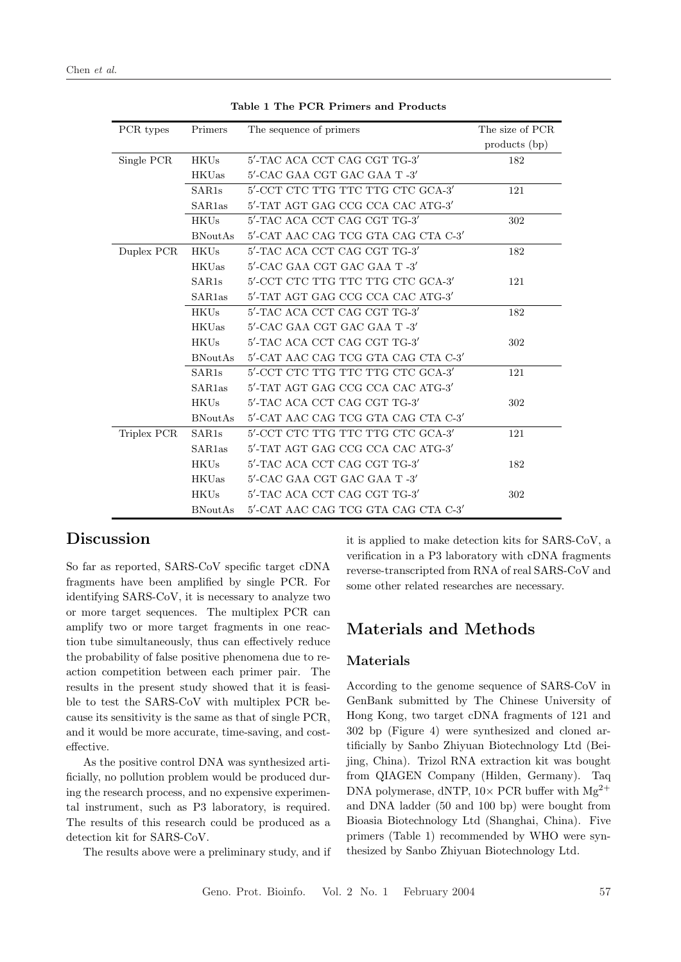| PCR types   | Primers             | The sequence of primers                  | The size of PCR |
|-------------|---------------------|------------------------------------------|-----------------|
|             |                     |                                          | products (bp)   |
| Single PCR  | <b>HKUs</b>         | 5'-TAC ACA CCT CAG CGT TG-3'             | 182             |
|             | <b>HKUas</b>        | 5'-CAC GAA CGT GAC GAA T -3'             |                 |
|             | SAR <sub>1s</sub>   | 5'-CCT CTC TTG TTC TTG CTC GCA-3'        | 121             |
|             | SAR <sub>1</sub> as | 5'-TAT AGT GAG CCG CCA CAC ATG-3'        |                 |
|             | <b>HKUs</b>         | 5'-TAC ACA CCT CAG CGT TG-3'             | 302             |
|             | <b>BNoutAs</b>      | 5'-CAT AAC CAG TCG GTA CAG CTA C-3'      |                 |
| Duplex PCR  | <b>HKUs</b>         | 5'-TAC ACA CCT CAG CGT TG-3'             | 182             |
|             | <b>HKUas</b>        | $5'$ -CAC GAA CGT GAC GAA T $-3'$        |                 |
|             | SAR <sub>1s</sub>   | 5'-CCT CTC TTG TTC TTG CTC GCA-3'        | 121             |
|             | SAR <sub>1</sub> as | 5'-TAT AGT GAG CCG CCA CAC ATG-3'        |                 |
|             | <b>HKUs</b>         | 5'-TAC ACA CCT CAG CGT TG-3'             | 182             |
|             | <b>HKUas</b>        | $5'$ -CAC GAA CGT GAC GAA T $-3'$        |                 |
|             | <b>HKUs</b>         | 5'-TAC ACA CCT CAG CGT TG-3'             | 302             |
|             | <b>BNoutAs</b>      | 5'-CAT AAC CAG TCG GTA CAG CTA C-3'      |                 |
|             | SAR <sub>1s</sub>   | 5'-CCT CTC TTG TTC TTG CTC GCA-3'        | 121             |
|             | SAR <sub>1</sub> as | 5'-TAT AGT GAG CCG CCA CAC ATG-3'        |                 |
|             | <b>HKUs</b>         | $5'$ -TAC ACA CCT CAG CGT TG-3 $^\prime$ | 302             |
|             | <b>BNoutAs</b>      | 5'-CAT AAC CAG TCG GTA CAG CTA C-3'      |                 |
| Triplex PCR | SAR1s               | 5'-CCT CTC TTG TTC TTG CTC GCA-3'        | 121             |
|             | SAR <sub>1</sub> as | 5'-TAT AGT GAG CCG CCA CAC ATG-3'        |                 |
|             | <b>HKUs</b>         | 5'-TAC ACA CCT CAG CGT TG-3'             | 182             |
|             | <b>HKUas</b>        | $5'$ -CAC GAA CGT GAC GAA T $-3'$        |                 |
|             | <b>HKUs</b>         | 5'-TAC ACA CCT CAG CGT TG-3'             | 302             |
|             | <b>BNoutAs</b>      | 5'-CAT AAC CAG TCG GTA CAG CTA C-3'      |                 |

Table 1 The PCR Primers and Products

# Discussion

So far as reported, SARS-CoV specific target cDNA fragments have been amplified by single PCR. For identifying SARS-CoV, it is necessary to analyze two or more target sequences. The multiplex PCR can amplify two or more target fragments in one reaction tube simultaneously, thus can effectively reduce the probability of false positive phenomena due to reaction competition between each primer pair. The results in the present study showed that it is feasible to test the SARS-CoV with multiplex PCR because its sensitivity is the same as that of single PCR, and it would be more accurate, time-saving, and costeffective.

As the positive control DNA was synthesized artificially, no pollution problem would be produced during the research process, and no expensive experimental instrument, such as P3 laboratory, is required. The results of this research could be produced as a detection kit for SARS-CoV.

The results above were a preliminary study, and if

it is applied to make detection kits for SARS-CoV, a verification in a P3 laboratory with cDNA fragments reverse-transcripted from RNA of real SARS-CoV and some other related researches are necessary.

## Materials and Methods

### Materials

According to the genome sequence of SARS-CoV in GenBank submitted by The Chinese University of Hong Kong, two target cDNA fragments of 121 and 302 bp (Figure 4) were synthesized and cloned artificially by Sanbo Zhiyuan Biotechnology Ltd (Beijing, China). Trizol RNA extraction kit was bought from QIAGEN Company (Hilden, Germany). Taq DNA polymerase, dNTP,  $10 \times$  PCR buffer with  $Mg^{2+}$ and DNA ladder (50 and 100 bp) were bought from Bioasia Biotechnology Ltd (Shanghai, China). Five primers (Table 1) recommended by WHO were synthesized by Sanbo Zhiyuan Biotechnology Ltd.